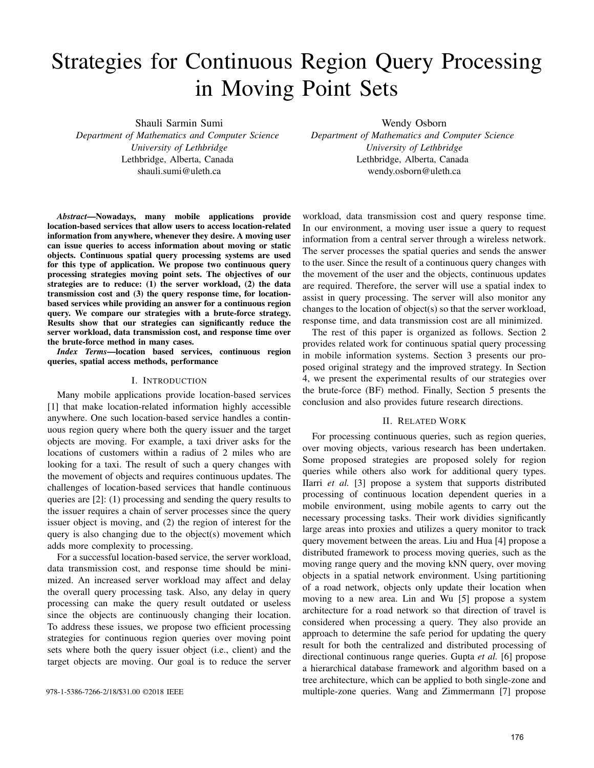# Strategies for Continuous Region Query Processing in Moving Point Sets

Shauli Sarmin Sumi

*Department of Mathematics and Computer Science University of Lethbridge* Lethbridge, Alberta, Canada shauli.sumi@uleth.ca

*Abstract*—Nowadays, many mobile applications provide location-based services that allow users to access location-related information from anywhere, whenever they desire. A moving user can issue queries to access information about moving or static objects. Continuous spatial query processing systems are used for this type of application. We propose two continuous query processing strategies moving point sets. The objectives of our strategies are to reduce: (1) the server workload, (2) the data transmission cost and (3) the query response time, for locationbased services while providing an answer for a continuous region query. We compare our strategies with a brute-force strategy. Results show that our strategies can significantly reduce the server workload, data transmission cost, and response time over the brute-force method in many cases.

*Index Terms*—location based services, continuous region queries, spatial access methods, performance

## I. INTRODUCTION

Many mobile applications provide location-based services [1] that make location-related information highly accessible anywhere. One such location-based service handles a continuous region query where both the query issuer and the target objects are moving. For example, a taxi driver asks for the locations of customers within a radius of 2 miles who are looking for a taxi. The result of such a query changes with the movement of objects and requires continuous updates. The challenges of location-based services that handle continuous queries are [2]: (1) processing and sending the query results to the issuer requires a chain of server processes since the query issuer object is moving, and (2) the region of interest for the query is also changing due to the object(s) movement which adds more complexity to processing.

For a successful location-based service, the server workload, data transmission cost, and response time should be minimized. An increased server workload may affect and delay the overall query processing task. Also, any delay in query processing can make the query result outdated or useless since the objects are continuously changing their location. To address these issues, we propose two efficient processing strategies for continuous region queries over moving point sets where both the query issuer object (i.e., client) and the target objects are moving. Our goal is to reduce the server

Wendy Osborn

*Department of Mathematics and Computer Science University of Lethbridge* Lethbridge, Alberta, Canada wendy.osborn@uleth.ca

workload, data transmission cost and query response time. In our environment, a moving user issue a query to request information from a central server through a wireless network. The server processes the spatial queries and sends the answer to the user. Since the result of a continuous query changes with the movement of the user and the objects, continuous updates are required. Therefore, the server will use a spatial index to assist in query processing. The server will also monitor any changes to the location of object(s) so that the server workload, response time, and data transmission cost are all minimized.

The rest of this paper is organized as follows. Section 2 provides related work for continuous spatial query processing in mobile information systems. Section 3 presents our proposed original strategy and the improved strategy. In Section 4, we present the experimental results of our strategies over the brute-force (BF) method. Finally, Section 5 presents the conclusion and also provides future research directions.

## II. RELATED WORK

For processing continuous queries, such as region queries, over moving objects, various research has been undertaken. Some proposed strategies are proposed solely for region queries while others also work for additional query types. IIarri *et al.* [3] propose a system that supports distributed processing of continuous location dependent queries in a mobile environment, using mobile agents to carry out the necessary processing tasks. Their work dividies significantly large areas into proxies and utilizes a query monitor to track query movement between the areas. Liu and Hua [4] propose a distributed framework to process moving queries, such as the moving range query and the moving kNN query, over moving objects in a spatial network environment. Using partitioning of a road network, objects only update their location when moving to a new area. Lin and Wu [5] propose a system architecture for a road network so that direction of travel is considered when processing a query. They also provide an approach to determine the safe period for updating the query result for both the centralized and distributed processing of directional continuous range queries. Gupta *et al.* [6] propose a hierarchical database framework and algorithm based on a tree architecture, which can be applied to both single-zone and 978-1-5386-7266-2/18/\$31.00 ©2018 IEEE multiple-zone queries. Wang and Zimmermann [7] propose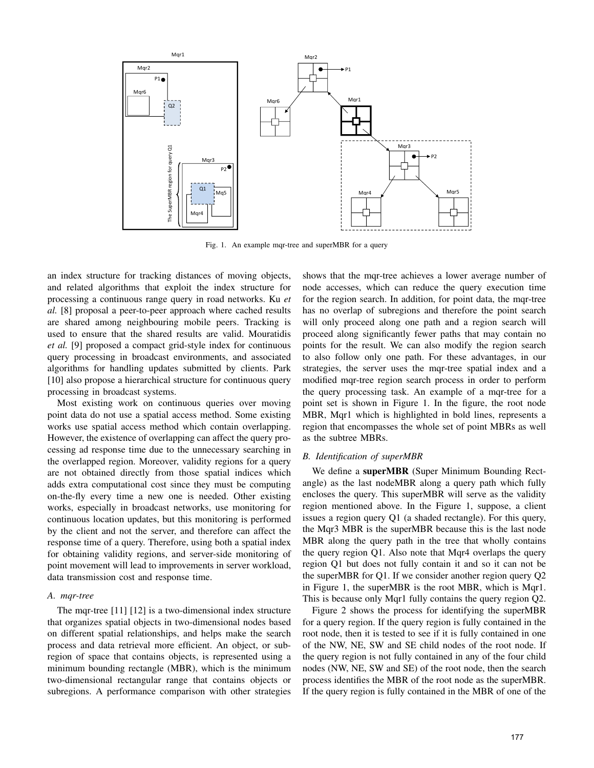

Fig. 1. An example mqr-tree and superMBR for a query

an index structure for tracking distances of moving objects, and related algorithms that exploit the index structure for processing a continuous range query in road networks. Ku *et al.* [8] proposal a peer-to-peer approach where cached results are shared among neighbouring mobile peers. Tracking is used to ensure that the shared results are valid. Mouratidis *et al.* [9] proposed a compact grid-style index for continuous query processing in broadcast environments, and associated algorithms for handling updates submitted by clients. Park [10] also propose a hierarchical structure for continuous query processing in broadcast systems.

Most existing work on continuous queries over moving point data do not use a spatial access method. Some existing works use spatial access method which contain overlapping. However, the existence of overlapping can affect the query processing ad response time due to the unnecessary searching in the overlapped region. Moreover, validity regions for a query are not obtained directly from those spatial indices which adds extra computational cost since they must be computing on-the-fly every time a new one is needed. Other existing works, especially in broadcast networks, use monitoring for continuous location updates, but this monitoring is performed by the client and not the server, and therefore can affect the response time of a query. Therefore, using both a spatial index for obtaining validity regions, and server-side monitoring of point movement will lead to improvements in server workload, data transmission cost and response time.

## *A. mqr-tree*

The mqr-tree [11] [12] is a two-dimensional index structure that organizes spatial objects in two-dimensional nodes based on different spatial relationships, and helps make the search process and data retrieval more efficient. An object, or subregion of space that contains objects, is represented using a minimum bounding rectangle (MBR), which is the minimum two-dimensional rectangular range that contains objects or subregions. A performance comparison with other strategies

shows that the mqr-tree achieves a lower average number of node accesses, which can reduce the query execution time for the region search. In addition, for point data, the mqr-tree has no overlap of subregions and therefore the point search will only proceed along one path and a region search will proceed along significantly fewer paths that may contain no points for the result. We can also modify the region search to also follow only one path. For these advantages, in our strategies, the server uses the mqr-tree spatial index and a modified mqr-tree region search process in order to perform the query processing task. An example of a mqr-tree for a point set is shown in Figure 1. In the figure, the root node MBR, Mqr1 which is highlighted in bold lines, represents a region that encompasses the whole set of point MBRs as well as the subtree MBRs.

## *B. Identification of superMBR*

We define a superMBR (Super Minimum Bounding Rectangle) as the last nodeMBR along a query path which fully encloses the query. This superMBR will serve as the validity region mentioned above. In the Figure 1, suppose, a client issues a region query Q1 (a shaded rectangle). For this query, the Mqr3 MBR is the superMBR because this is the last node MBR along the query path in the tree that wholly contains the query region Q1. Also note that Mqr4 overlaps the query region Q1 but does not fully contain it and so it can not be the superMBR for Q1. If we consider another region query Q2 in Figure 1, the superMBR is the root MBR, which is Mqr1. This is because only Mqr1 fully contains the query region Q2.

Figure 2 shows the process for identifying the superMBR for a query region. If the query region is fully contained in the root node, then it is tested to see if it is fully contained in one of the NW, NE, SW and SE child nodes of the root node. If the query region is not fully contained in any of the four child nodes (NW, NE, SW and SE) of the root node, then the search process identifies the MBR of the root node as the superMBR. If the query region is fully contained in the MBR of one of the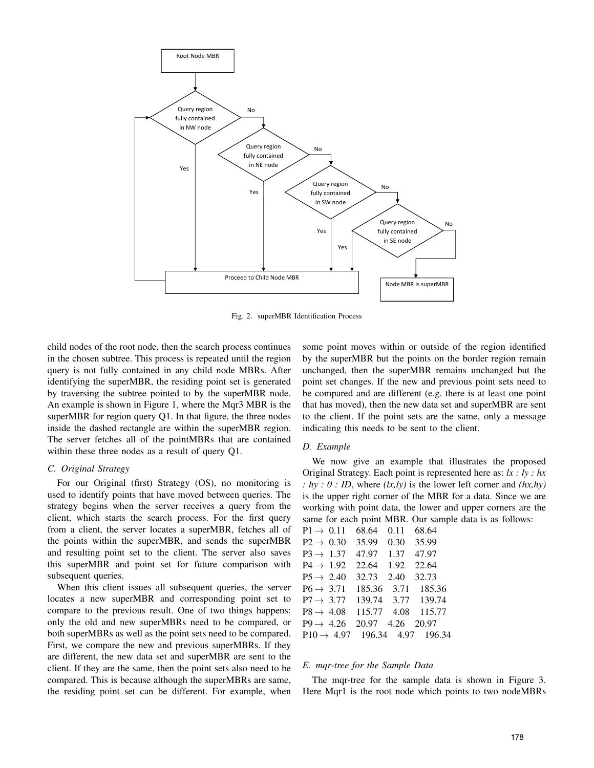

Fig. 2. superMBR Identification Process

child nodes of the root node, then the search process continues in the chosen subtree. This process is repeated until the region query is not fully contained in any child node MBRs. After identifying the superMBR, the residing point set is generated by traversing the subtree pointed to by the superMBR node. An example is shown in Figure 1, where the Mqr3 MBR is the superMBR for region query Q1. In that figure, the three nodes inside the dashed rectangle are within the superMBR region. The server fetches all of the pointMBRs that are contained within these three nodes as a result of query Q1.

# *C. Original Strategy*

For our Original (first) Strategy (OS), no monitoring is used to identify points that have moved between queries. The strategy begins when the server receives a query from the client, which starts the search process. For the first query from a client, the server locates a superMBR, fetches all of the points within the superMBR, and sends the superMBR and resulting point set to the client. The server also saves this superMBR and point set for future comparison with subsequent queries.

When this client issues all subsequent queries, the server locates a new superMBR and corresponding point set to compare to the previous result. One of two things happens: only the old and new superMBRs need to be compared, or both superMBRs as well as the point sets need to be compared. First, we compare the new and previous superMBRs. If they are different, the new data set and superMBR are sent to the client. If they are the same, then the point sets also need to be compared. This is because although the superMBRs are same, the residing point set can be different. For example, when some point moves within or outside of the region identified by the superMBR but the points on the border region remain unchanged, then the superMBR remains unchanged but the point set changes. If the new and previous point sets need to be compared and are different (e.g. there is at least one point that has moved), then the new data set and superMBR are sent to the client. If the point sets are the same, only a message indicating this needs to be sent to the client.

## *D. Example*

We now give an example that illustrates the proposed Original Strategy. Each point is represented here as: *lx : ly : hx : hy : 0 : ID*, where *(lx,ly)* is the lower left corner and *(hx,hy)* is the upper right corner of the MBR for a data. Since we are working with point data, the lower and upper corners are the same for each point MBR. Our sample data is as follows:

| 68.64  | 0.11 | 68.64              |
|--------|------|--------------------|
| 35.99  | 0.30 | 35.99              |
| 47.97  | 1.37 | 47.97              |
| 22.64  | 1.92 | 22.64              |
| 32.73  | 2.40 | 32.73              |
| 185.36 | 3.71 | 185.36             |
| 139.74 | 3.77 | 139.74             |
| 115.77 | 4.08 | 115.77             |
| 20.97  | 4.26 | 20.97              |
|        |      |                    |
|        |      | 196.34 4.97 196.34 |

## *E. mqr-tree for the Sample Data*

The mqr-tree for the sample data is shown in Figure 3. Here Mqr1 is the root node which points to two nodeMBRs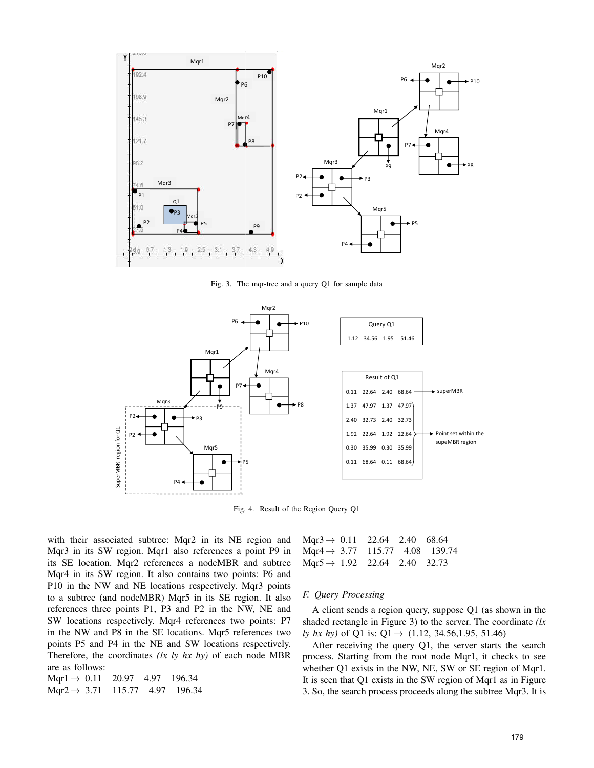

Fig. 3. The mqr-tree and a query Q1 for sample data



Fig. 4. Result of the Region Query Q1

with their associated subtree: Mqr2 in its NE region and Mqr3 in its SW region. Mqr1 also references a point P9 in its SE location. Mqr2 references a nodeMBR and subtree Mqr4 in its SW region. It also contains two points: P6 and P10 in the NW and NE locations respectively. Mqr3 points to a subtree (and nodeMBR) Mqr5 in its SE region. It also references three points P1, P3 and P2 in the NW, NE and SW locations respectively. Mqr4 references two points: P7 in the NW and P8 in the SE locations. Mqr5 references two points P5 and P4 in the NE and SW locations respectively. Therefore, the coordinates *(lx ly hx hy)* of each node MBR are as follows:

| Mqr1 $\rightarrow$ 0.11 20.97 4.97 196.34  |  |  |
|--------------------------------------------|--|--|
| $Mqr2 \rightarrow 3.71$ 115.77 4.97 196.34 |  |  |

| Mqr3 $\rightarrow$ 0.11 22.64 2.40 68.64   |  |  |
|--------------------------------------------|--|--|
| Mgr4 $\rightarrow$ 3.77 115.77 4.08 139.74 |  |  |
| Mqr5 $\rightarrow$ 1.92 22.64 2.40 32.73   |  |  |

#### *F. Query Processing*

A client sends a region query, suppose Q1 (as shown in the shaded rectangle in Figure 3) to the server. The coordinate *(lx ly hx hy*) of Q1 is: Q1 → (1.12, 34.56,1.95, 51.46)

After receiving the query Q1, the server starts the search process. Starting from the root node Mqr1, it checks to see whether Q1 exists in the NW, NE, SW or SE region of Mqr1. It is seen that Q1 exists in the SW region of Mqr1 as in Figure 3. So, the search process proceeds along the subtree Mqr3. It is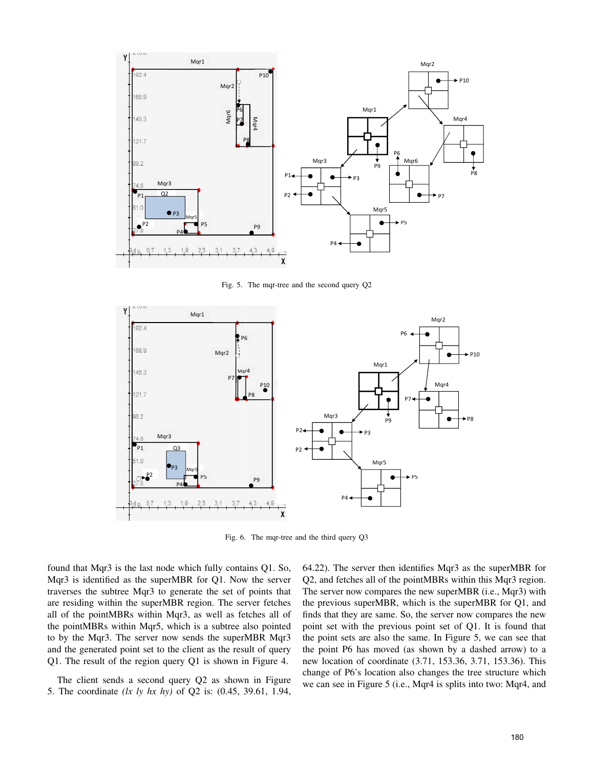

Fig. 5. The mqr-tree and the second query Q2



Fig. 6. The mqr-tree and the third query Q3

found that Mqr3 is the last node which fully contains Q1. So, Mqr3 is identified as the superMBR for Q1. Now the server traverses the subtree Mqr3 to generate the set of points that are residing within the superMBR region. The server fetches all of the pointMBRs within Mqr3, as well as fetches all of the pointMBRs within Mqr5, which is a subtree also pointed to by the Mqr3. The server now sends the superMBR Mqr3 and the generated point set to the client as the result of query Q1. The result of the region query Q1 is shown in Figure 4.

The client sends a second query Q2 as shown in Figure 5. The coordinate *(lx ly hx hy)* of Q2 is: (0.45, 39.61, 1.94, 64.22). The server then identifies Mqr3 as the superMBR for Q2, and fetches all of the pointMBRs within this Mqr3 region. The server now compares the new superMBR (i.e., Mqr3) with the previous superMBR, which is the superMBR for Q1, and finds that they are same. So, the server now compares the new point set with the previous point set of Q1. It is found that the point sets are also the same. In Figure 5, we can see that the point P6 has moved (as shown by a dashed arrow) to a new location of coordinate (3.71, 153.36, 3.71, 153.36). This change of P6's location also changes the tree structure which we can see in Figure 5 (i.e., Mqr4 is splits into two: Mqr4, and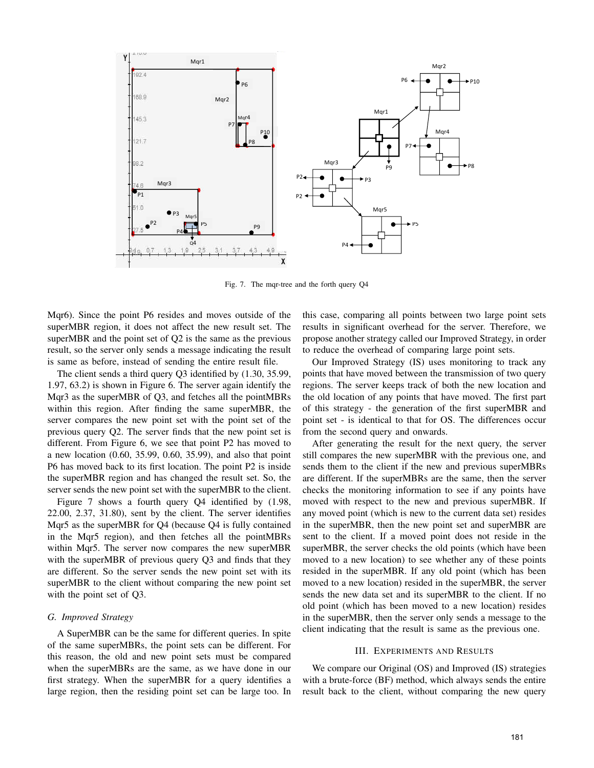

Fig. 7. The mqr-tree and the forth query Q4

Mqr6). Since the point P6 resides and moves outside of the superMBR region, it does not affect the new result set. The superMBR and the point set of Q2 is the same as the previous result, so the server only sends a message indicating the result is same as before, instead of sending the entire result file.

The client sends a third query Q3 identified by (1.30, 35.99, 1.97, 63.2) is shown in Figure 6. The server again identify the Mqr3 as the superMBR of Q3, and fetches all the pointMBRs within this region. After finding the same superMBR, the server compares the new point set with the point set of the previous query Q2. The server finds that the new point set is different. From Figure 6, we see that point P2 has moved to a new location (0.60, 35.99, 0.60, 35.99), and also that point P6 has moved back to its first location. The point P2 is inside the superMBR region and has changed the result set. So, the server sends the new point set with the superMBR to the client.

Figure 7 shows a fourth query Q4 identified by (1.98, 22.00, 2.37, 31.80), sent by the client. The server identifies Mqr5 as the superMBR for Q4 (because Q4 is fully contained in the Mqr5 region), and then fetches all the pointMBRs within Mqr5. The server now compares the new superMBR with the superMBR of previous query Q3 and finds that they are different. So the server sends the new point set with its superMBR to the client without comparing the new point set with the point set of Q3.

# *G. Improved Strategy*

A SuperMBR can be the same for different queries. In spite of the same superMBRs, the point sets can be different. For this reason, the old and new point sets must be compared when the superMBRs are the same, as we have done in our first strategy. When the superMBR for a query identifies a large region, then the residing point set can be large too. In this case, comparing all points between two large point sets results in significant overhead for the server. Therefore, we propose another strategy called our Improved Strategy, in order to reduce the overhead of comparing large point sets.

Our Improved Strategy (IS) uses monitoring to track any points that have moved between the transmission of two query regions. The server keeps track of both the new location and the old location of any points that have moved. The first part of this strategy - the generation of the first superMBR and point set - is identical to that for OS. The differences occur from the second query and onwards.

After generating the result for the next query, the server still compares the new superMBR with the previous one, and sends them to the client if the new and previous superMBRs are different. If the superMBRs are the same, then the server checks the monitoring information to see if any points have moved with respect to the new and previous superMBR. If any moved point (which is new to the current data set) resides in the superMBR, then the new point set and superMBR are sent to the client. If a moved point does not reside in the superMBR, the server checks the old points (which have been moved to a new location) to see whether any of these points resided in the superMBR. If any old point (which has been moved to a new location) resided in the superMBR, the server sends the new data set and its superMBR to the client. If no old point (which has been moved to a new location) resides in the superMBR, then the server only sends a message to the client indicating that the result is same as the previous one.

## III. EXPERIMENTS AND RESULTS

We compare our Original (OS) and Improved (IS) strategies with a brute-force (BF) method, which always sends the entire result back to the client, without comparing the new query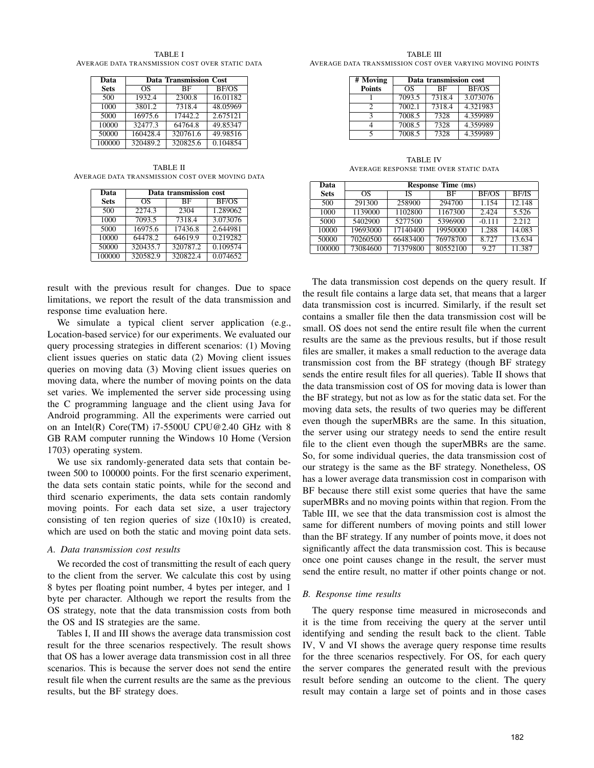TABLE I AVERAGE DATA TRANSMISSION COST OVER STATIC DATA

| Data        | <b>Data Transmission Cost</b> |          |          |  |  |
|-------------|-------------------------------|----------|----------|--|--|
| <b>Sets</b> | OS                            | ВF       | BF/OS    |  |  |
| 500         | 1932.4                        | 2300.8   | 16.01182 |  |  |
| 1000        | 3801.2                        | 7318.4   | 48.05969 |  |  |
| 5000        | 16975.6                       | 17442.2  | 2.675121 |  |  |
| 10000       | 32477.3                       | 64764.8  | 49.85347 |  |  |
| 50000       | 160428.4                      | 320761.6 | 49.98516 |  |  |
| 100000      | 320489.2                      | 320825.6 | 0.104854 |  |  |

TABLE II AVERAGE DATA TRANSMISSION COST OVER MOVING DATA

| Data        | Data transmission cost |           |              |  |
|-------------|------------------------|-----------|--------------|--|
| <b>Sets</b> | OS                     | <b>BF</b> | <b>BF/OS</b> |  |
| 500         | 2274.3                 | 2304      | 1.289062     |  |
| 1000        | 7093.5                 | 7318.4    | 3.073076     |  |
| 5000        | 16975.6                | 17436.8   | 2.644981     |  |
| 10000       | 64478.2                | 64619.9   | 0.219282     |  |
| 50000       | 320435.7               | 320787.2  | 0.109574     |  |
| 100000      | 320582.9               | 320822.4  | 0.074652     |  |

result with the previous result for changes. Due to space limitations, we report the result of the data transmission and response time evaluation here.

We simulate a typical client server application (e.g., Location-based service) for our experiments. We evaluated our query processing strategies in different scenarios: (1) Moving client issues queries on static data (2) Moving client issues queries on moving data (3) Moving client issues queries on moving data, where the number of moving points on the data set varies. We implemented the server side processing using the C programming language and the client using Java for Android programming. All the experiments were carried out on an Intel(R) Core(TM) i7-5500U CPU@2.40 GHz with 8 GB RAM computer running the Windows 10 Home (Version 1703) operating system.

We use six randomly-generated data sets that contain between 500 to 100000 points. For the first scenario experiment, the data sets contain static points, while for the second and third scenario experiments, the data sets contain randomly moving points. For each data set size, a user trajectory consisting of ten region queries of size (10x10) is created, which are used on both the static and moving point data sets.

## *A. Data transmission cost results*

We recorded the cost of transmitting the result of each query to the client from the server. We calculate this cost by using 8 bytes per floating point number, 4 bytes per integer, and 1 byte per character. Although we report the results from the OS strategy, note that the data transmission costs from both the OS and IS strategies are the same.

Tables I, II and III shows the average data transmission cost result for the three scenarios respectively. The result shows that OS has a lower average data transmission cost in all three scenarios. This is because the server does not send the entire result file when the current results are the same as the previous results, but the BF strategy does.

TABLE III AVERAGE DATA TRANSMISSION COST OVER VARYING MOVING POINTS

| # Moving      | Data transmission cost   |        |          |  |  |  |
|---------------|--------------------------|--------|----------|--|--|--|
| <b>Points</b> | <b>BF/OS</b><br>OS<br>BF |        |          |  |  |  |
|               | 7093.5                   | 7318.4 | 3.073076 |  |  |  |
| 7             | 7002.1                   | 7318.4 | 4.321983 |  |  |  |
| κ             | 7008.5                   | 7328   | 4.359989 |  |  |  |
|               | 7008.5                   | 7328   | 4.359989 |  |  |  |
|               | 7008.5                   | 7328   | 4.359989 |  |  |  |

TABLE IV AVERAGE RESPONSE TIME OVER STATIC DATA

| Data        | <b>Response Time (ms)</b> |          |          |          |              |
|-------------|---------------------------|----------|----------|----------|--------------|
| <b>Sets</b> | OS                        | ΙS       | ВF       | BF/OS    | <b>BF/IS</b> |
| 500         | 291300                    | 258900   | 294700   | 1.154    | 12.148       |
| 1000        | 1139000                   | 1102800  | 1167300  | 2.424    | 5.526        |
| 5000        | 5402900                   | 5277500  | 5396900  | $-0.111$ | 2.212        |
| 10000       | 19693000                  | 17140400 | 19950000 | 1.288    | 14.083       |
| 50000       | 70260500                  | 66483400 | 76978700 | 8.727    | 13.634       |
| 100000      | 73084600                  | 71379800 | 80552100 | 9.27     | 11.387       |

The data transmission cost depends on the query result. If the result file contains a large data set, that means that a larger data transmission cost is incurred. Similarly, if the result set contains a smaller file then the data transmission cost will be small. OS does not send the entire result file when the current results are the same as the previous results, but if those result files are smaller, it makes a small reduction to the average data transmission cost from the BF strategy (though BF strategy sends the entire result files for all queries). Table II shows that the data transmission cost of OS for moving data is lower than the BF strategy, but not as low as for the static data set. For the moving data sets, the results of two queries may be different even though the superMBRs are the same. In this situation, the server using our strategy needs to send the entire result file to the client even though the superMBRs are the same. So, for some individual queries, the data transmission cost of our strategy is the same as the BF strategy. Nonetheless, OS has a lower average data transmission cost in comparison with BF because there still exist some queries that have the same superMBRs and no moving points within that region. From the Table III, we see that the data transmission cost is almost the same for different numbers of moving points and still lower than the BF strategy. If any number of points move, it does not significantly affect the data transmission cost. This is because once one point causes change in the result, the server must send the entire result, no matter if other points change or not.

## *B. Response time results*

The query response time measured in microseconds and it is the time from receiving the query at the server until identifying and sending the result back to the client. Table IV, V and VI shows the average query response time results for the three scenarios respectively. For OS, for each query the server compares the generated result with the previous result before sending an outcome to the client. The query result may contain a large set of points and in those cases